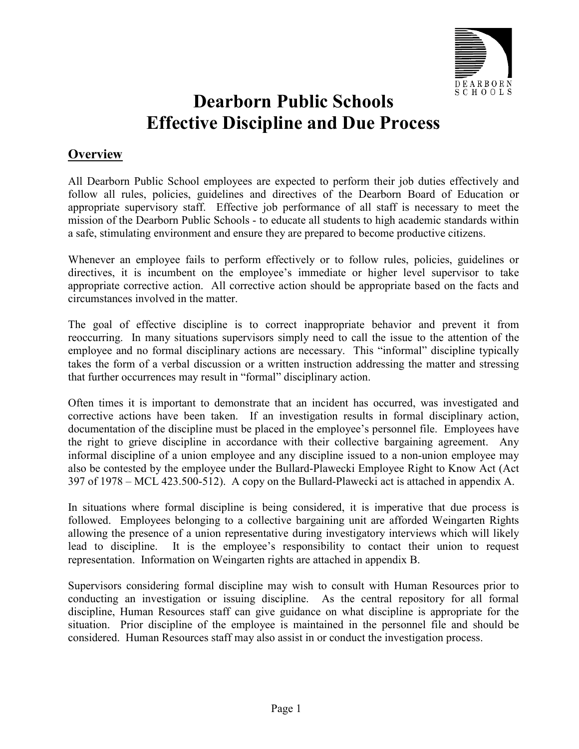

# **Dearborn Public Schools Effective Discipline and Due Process**

## **Overview**

All Dearborn Public School employees are expected to perform their job duties effectively and follow all rules, policies, guidelines and directives of the Dearborn Board of Education or appropriate supervisory staff. Effective job performance of all staff is necessary to meet the mission of the Dearborn Public Schools - to educate all students to high academic standards within a safe, stimulating environment and ensure they are prepared to become productive citizens.

Whenever an employee fails to perform effectively or to follow rules, policies, guidelines or directives, it is incumbent on the employee's immediate or higher level supervisor to take appropriate corrective action. All corrective action should be appropriate based on the facts and circumstances involved in the matter.

The goal of effective discipline is to correct inappropriate behavior and prevent it from reoccurring. In many situations supervisors simply need to call the issue to the attention of the employee and no formal disciplinary actions are necessary. This "informal" discipline typically takes the form of a verbal discussion or a written instruction addressing the matter and stressing that further occurrences may result in "formal" disciplinary action.

Often times it is important to demonstrate that an incident has occurred, was investigated and corrective actions have been taken. If an investigation results in formal disciplinary action, documentation of the discipline must be placed in the employee's personnel file. Employees have the right to grieve discipline in accordance with their collective bargaining agreement. Any informal discipline of a union employee and any discipline issued to a non-union employee may also be contested by the employee under the Bullard-Plawecki Employee Right to Know Act (Act 397 of 1978 – MCL 423.500-512). A copy on the Bullard-Plawecki act is attached in appendix A.

In situations where formal discipline is being considered, it is imperative that due process is followed. Employees belonging to a collective bargaining unit are afforded Weingarten Rights allowing the presence of a union representative during investigatory interviews which will likely lead to discipline. It is the employee's responsibility to contact their union to request representation. Information on Weingarten rights are attached in appendix B.

Supervisors considering formal discipline may wish to consult with Human Resources prior to conducting an investigation or issuing discipline. As the central repository for all formal discipline, Human Resources staff can give guidance on what discipline is appropriate for the situation. Prior discipline of the employee is maintained in the personnel file and should be considered. Human Resources staff may also assist in or conduct the investigation process.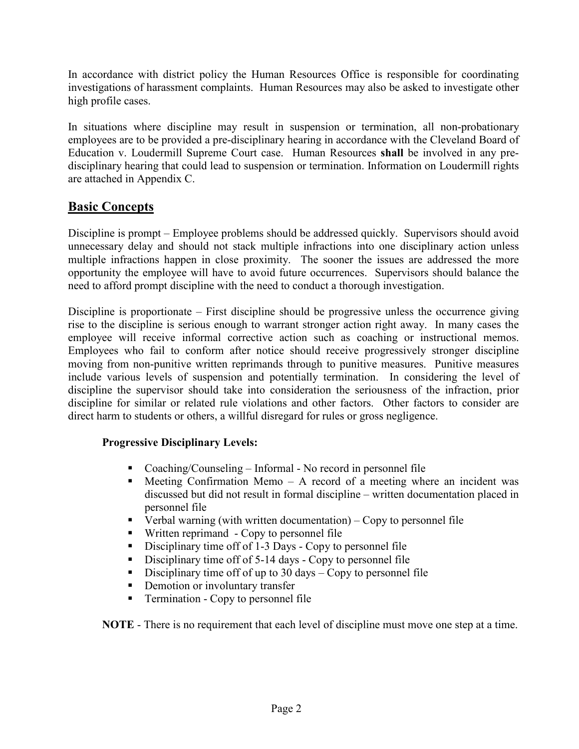In accordance with district policy the Human Resources Office is responsible for coordinating investigations of harassment complaints. Human Resources may also be asked to investigate other high profile cases.

In situations where discipline may result in suspension or termination, all non-probationary employees are to be provided a pre-disciplinary hearing in accordance with the Cleveland Board of Education v. Loudermill Supreme Court case. Human Resources **shall** be involved in any predisciplinary hearing that could lead to suspension or termination. Information on Loudermill rights are attached in Appendix C.

## **Basic Concepts**

Discipline is prompt – Employee problems should be addressed quickly. Supervisors should avoid unnecessary delay and should not stack multiple infractions into one disciplinary action unless multiple infractions happen in close proximity. The sooner the issues are addressed the more opportunity the employee will have to avoid future occurrences. Supervisors should balance the need to afford prompt discipline with the need to conduct a thorough investigation.

Discipline is proportionate – First discipline should be progressive unless the occurrence giving rise to the discipline is serious enough to warrant stronger action right away. In many cases the employee will receive informal corrective action such as coaching or instructional memos. Employees who fail to conform after notice should receive progressively stronger discipline moving from non-punitive written reprimands through to punitive measures. Punitive measures include various levels of suspension and potentially termination. In considering the level of discipline the supervisor should take into consideration the seriousness of the infraction, prior discipline for similar or related rule violations and other factors. Other factors to consider are direct harm to students or others, a willful disregard for rules or gross negligence.

#### **Progressive Disciplinary Levels:**

- Coaching/Counseling Informal No record in personnel file
- Meeting Confirmation Memo  $-$  A record of a meeting where an incident was discussed but did not result in formal discipline – written documentation placed in personnel file
- Verbal warning (with written documentation) Copy to personnel file
- Written reprimand Copy to personnel file
- Disciplinary time off of 1-3 Days Copy to personnel file
- Disciplinary time off of 5-14 days Copy to personnel file
- Disciplinary time off of up to  $30 \text{ days} \text{Copy}$  to personnel file
- Demotion or involuntary transfer
- **Termination Copy to personnel file**

**NOTE** - There is no requirement that each level of discipline must move one step at a time.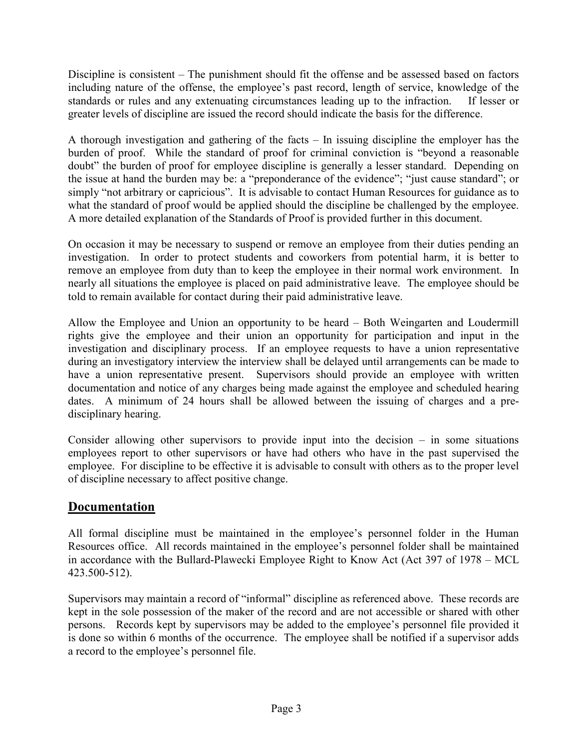Discipline is consistent – The punishment should fit the offense and be assessed based on factors including nature of the offense, the employee's past record, length of service, knowledge of the standards or rules and any extenuating circumstances leading up to the infraction. If lesser or greater levels of discipline are issued the record should indicate the basis for the difference.

A thorough investigation and gathering of the facts – In issuing discipline the employer has the burden of proof. While the standard of proof for criminal conviction is "beyond a reasonable doubt" the burden of proof for employee discipline is generally a lesser standard. Depending on the issue at hand the burden may be: a "preponderance of the evidence"; "just cause standard"; or simply "not arbitrary or capricious". It is advisable to contact Human Resources for guidance as to what the standard of proof would be applied should the discipline be challenged by the employee. A more detailed explanation of the Standards of Proof is provided further in this document.

On occasion it may be necessary to suspend or remove an employee from their duties pending an investigation. In order to protect students and coworkers from potential harm, it is better to remove an employee from duty than to keep the employee in their normal work environment. In nearly all situations the employee is placed on paid administrative leave. The employee should be told to remain available for contact during their paid administrative leave.

Allow the Employee and Union an opportunity to be heard – Both Weingarten and Loudermill rights give the employee and their union an opportunity for participation and input in the investigation and disciplinary process. If an employee requests to have a union representative during an investigatory interview the interview shall be delayed until arrangements can be made to have a union representative present. Supervisors should provide an employee with written documentation and notice of any charges being made against the employee and scheduled hearing dates. A minimum of 24 hours shall be allowed between the issuing of charges and a predisciplinary hearing.

Consider allowing other supervisors to provide input into the decision – in some situations employees report to other supervisors or have had others who have in the past supervised the employee. For discipline to be effective it is advisable to consult with others as to the proper level of discipline necessary to affect positive change.

## **Documentation**

All formal discipline must be maintained in the employee's personnel folder in the Human Resources office. All records maintained in the employee's personnel folder shall be maintained in accordance with the Bullard-Plawecki Employee Right to Know Act (Act 397 of 1978 – MCL 423.500-512).

Supervisors may maintain a record of "informal" discipline as referenced above. These records are kept in the sole possession of the maker of the record and are not accessible or shared with other persons. Records kept by supervisors may be added to the employee's personnel file provided it is done so within 6 months of the occurrence. The employee shall be notified if a supervisor adds a record to the employee's personnel file.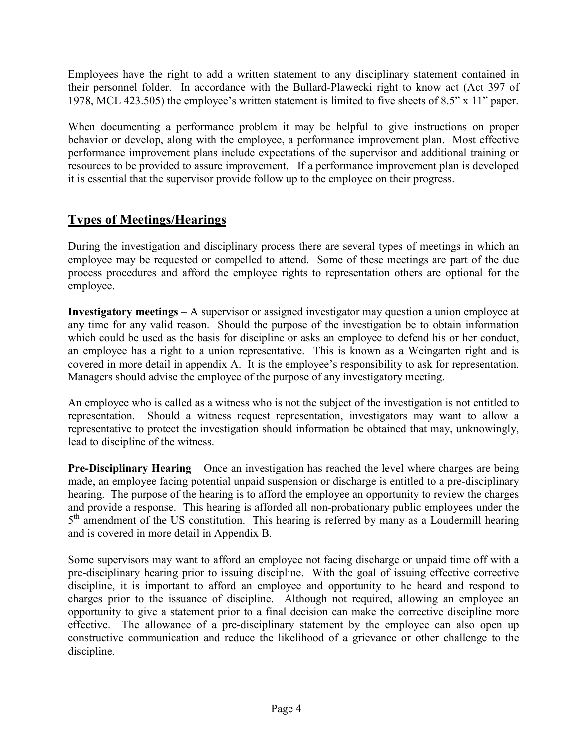Employees have the right to add a written statement to any disciplinary statement contained in their personnel folder. In accordance with the Bullard-Plawecki right to know act (Act 397 of 1978, MCL 423.505) the employee's written statement is limited to five sheets of 8.5" x 11" paper.

When documenting a performance problem it may be helpful to give instructions on proper behavior or develop, along with the employee, a performance improvement plan. Most effective performance improvement plans include expectations of the supervisor and additional training or resources to be provided to assure improvement. If a performance improvement plan is developed it is essential that the supervisor provide follow up to the employee on their progress.

## **Types of Meetings/Hearings**

During the investigation and disciplinary process there are several types of meetings in which an employee may be requested or compelled to attend. Some of these meetings are part of the due process procedures and afford the employee rights to representation others are optional for the employee.

**Investigatory meetings** – A supervisor or assigned investigator may question a union employee at any time for any valid reason. Should the purpose of the investigation be to obtain information which could be used as the basis for discipline or asks an employee to defend his or her conduct, an employee has a right to a union representative. This is known as a Weingarten right and is covered in more detail in appendix A. It is the employee's responsibility to ask for representation. Managers should advise the employee of the purpose of any investigatory meeting.

An employee who is called as a witness who is not the subject of the investigation is not entitled to representation. Should a witness request representation, investigators may want to allow a representative to protect the investigation should information be obtained that may, unknowingly, lead to discipline of the witness.

**Pre-Disciplinary Hearing** – Once an investigation has reached the level where charges are being made, an employee facing potential unpaid suspension or discharge is entitled to a pre-disciplinary hearing. The purpose of the hearing is to afford the employee an opportunity to review the charges and provide a response. This hearing is afforded all non-probationary public employees under the 5<sup>th</sup> amendment of the US constitution. This hearing is referred by many as a Loudermill hearing and is covered in more detail in Appendix B.

Some supervisors may want to afford an employee not facing discharge or unpaid time off with a pre-disciplinary hearing prior to issuing discipline. With the goal of issuing effective corrective discipline, it is important to afford an employee and opportunity to he heard and respond to charges prior to the issuance of discipline. Although not required, allowing an employee an opportunity to give a statement prior to a final decision can make the corrective discipline more effective. The allowance of a pre-disciplinary statement by the employee can also open up constructive communication and reduce the likelihood of a grievance or other challenge to the discipline.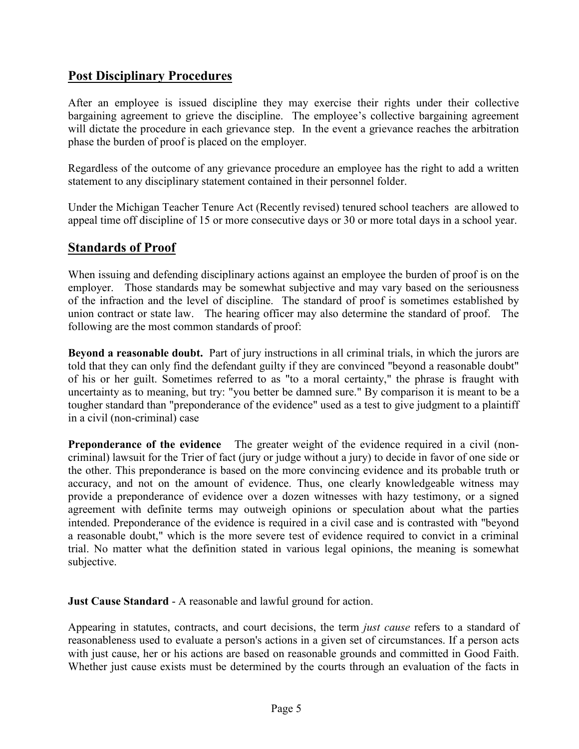## **Post Disciplinary Procedures**

After an employee is issued discipline they may exercise their rights under their collective bargaining agreement to grieve the discipline. The employee's collective bargaining agreement will dictate the procedure in each grievance step. In the event a grievance reaches the arbitration phase the burden of proof is placed on the employer.

Regardless of the outcome of any grievance procedure an employee has the right to add a written statement to any disciplinary statement contained in their personnel folder.

Under the Michigan Teacher Tenure Act (Recently revised) tenured school teachers are allowed to appeal time off discipline of 15 or more consecutive days or 30 or more total days in a school year.

### **Standards of Proof**

When issuing and defending disciplinary actions against an employee the burden of proof is on the employer. Those standards may be somewhat subjective and may vary based on the seriousness of the infraction and the level of discipline. The standard of proof is sometimes established by union contract or state law. The hearing officer may also determine the standard of proof. The following are the most common standards of proof:

**Beyond a reasonable doubt.** Part of jury instructions in all criminal trials, in which the jurors are told that they can only find the defendant guilty if they are convinced "beyond a reasonable doubt" of his or her guilt. Sometimes referred to as "to a moral certainty," the phrase is fraught with uncertainty as to meaning, but try: "you better be damned sure." By comparison it is meant to be a tougher standard than "preponderance of the evidence" used as a test to give judgment to a plaintiff in a civil (non-criminal) case

**Preponderance of the evidence** The greater weight of the evidence required in a civil (noncriminal) lawsuit for the Trier of fact (jury or judge without a jury) to decide in favor of one side or the other. This preponderance is based on the more convincing evidence and its probable truth or accuracy, and not on the amount of evidence. Thus, one clearly knowledgeable witness may provide a preponderance of evidence over a dozen witnesses with hazy testimony, or a signed agreement with definite terms may outweigh opinions or speculation about what the parties intended. Preponderance of the evidence is required in a civil case and is contrasted with "beyond a reasonable doubt," which is the more severe test of evidence required to convict in a criminal trial. No matter what the definition stated in various legal opinions, the meaning is somewhat subjective.

**Just Cause Standard** - A reasonable and lawful ground for action.

Appearing in statutes, contracts, and court decisions, the term *just cause* refers to a standard of reasonableness used to evaluate a person's actions in a given set of circumstances. If a person acts with just cause, her or his actions are based on reasonable grounds and committed in Good Faith. Whether just cause exists must be determined by the courts through an evaluation of the facts in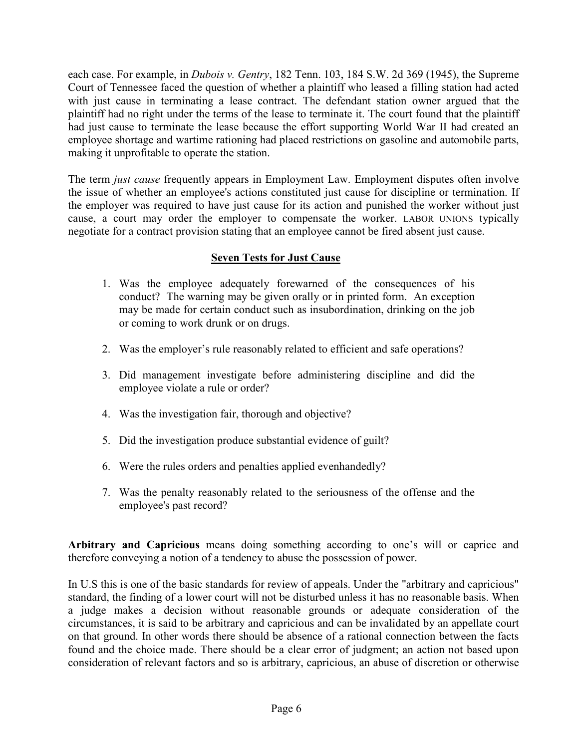each case. For example, in *Dubois v. Gentry*, 182 Tenn. 103, 184 S.W. 2d 369 (1945), the Supreme Court of Tennessee faced the question of whether a plaintiff who leased a filling station had acted with just cause in terminating a lease contract. The defendant station owner argued that the plaintiff had no right under the terms of the lease to terminate it. The court found that the plaintiff had just cause to terminate the lease because the effort supporting World War II had created an employee shortage and wartime rationing had placed restrictions on gasoline and automobile parts, making it unprofitable to operate the station.

The term *just cause* frequently appears in Employment Law. Employment disputes often involve the issue of whether an employee's actions constituted just cause for discipline or termination. If the employer was required to have just cause for its action and punished the worker without just cause, a court may order the employer to compensate the worker. LABOR UNIONS typically negotiate for a contract provision stating that an employee cannot be fired absent just cause.

#### **Seven Tests for Just Cause**

- 1. Was the employee adequately forewarned of the consequences of his conduct? The warning may be given orally or in printed form. An exception may be made for certain conduct such as insubordination, drinking on the job or coming to work drunk or on drugs.
- 2. Was the employer's rule reasonably related to efficient and safe operations?
- 3. Did management investigate before administering discipline and did the employee violate a rule or order?
- 4. Was the investigation fair, thorough and objective?
- 5. Did the investigation produce substantial evidence of guilt?
- 6. Were the rules orders and penalties applied evenhandedly?
- 7. Was the penalty reasonably related to the seriousness of the offense and the employee's past record?

**Arbitrary and Capricious** means doing something according to one's will or caprice and therefore conveying a notion of a tendency to abuse the possession of power.

In U.S this is one of the basic standards for review of appeals. Under the "arbitrary and capricious" standard, the finding of a lower court will not be disturbed unless it has no reasonable basis. When a judge makes a decision without reasonable grounds or adequate consideration of the circumstances, it is said to be arbitrary and capricious and can be invalidated by an appellate court on that ground. In other words there should be absence of a rational connection between the facts found and the choice made. There should be a clear error of judgment; an action not based upon consideration of relevant factors and so is arbitrary, capricious, an abuse of discretion or otherwise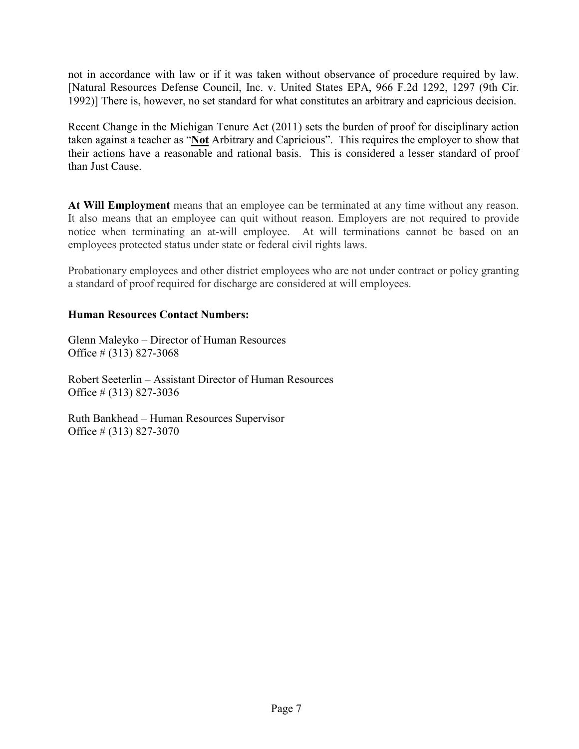not in accordance with law or if it was taken without observance of procedure required by law. [Natural Resources Defense Council, Inc. v. United States EPA, 966 F.2d 1292, 1297 (9th Cir. 1992)] There is, however, no set standard for what constitutes an arbitrary and capricious decision.

Recent Change in the Michigan Tenure Act (2011) sets the burden of proof for disciplinary action taken against a teacher as "**Not** Arbitrary and Capricious". This requires the employer to show that their actions have a reasonable and rational basis. This is considered a lesser standard of proof than Just Cause.

**At Will Employment** means that an employee can be terminated at any time without any reason. It also means that an employee can quit without reason. Employers are not required to provide notice when terminating an at-will employee. At will terminations cannot be based on an employees protected status under state or federal civil rights laws.

Probationary employees and other district employees who are not under contract or policy granting a standard of proof required for discharge are considered at will employees.

#### **Human Resources Contact Numbers:**

Glenn Maleyko – Director of Human Resources Office # (313) 827-3068

Robert Seeterlin – Assistant Director of Human Resources Office # (313) 827-3036

Ruth Bankhead – Human Resources Supervisor Office # (313) 827-3070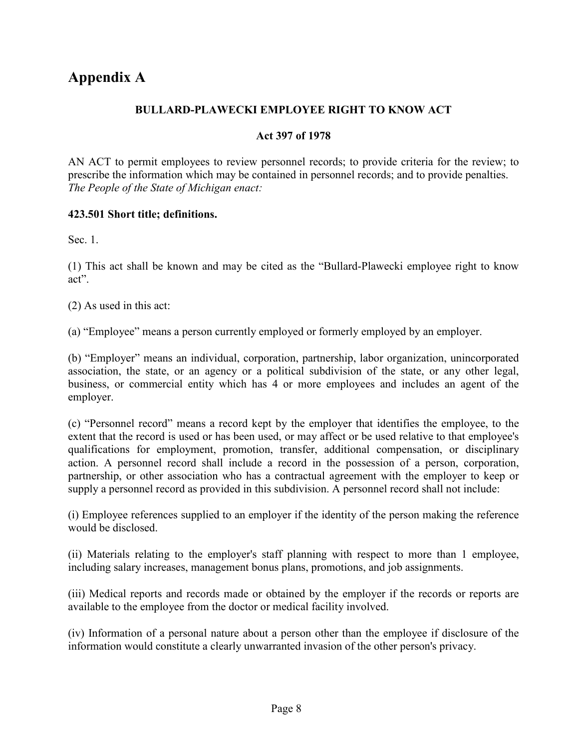## **Appendix A**

#### **BULLARD-PLAWECKI EMPLOYEE RIGHT TO KNOW ACT**

#### **Act 397 of 1978**

AN ACT to permit employees to review personnel records; to provide criteria for the review; to prescribe the information which may be contained in personnel records; and to provide penalties. *The People of the State of Michigan enact:*

#### **423.501 Short title; definitions.**

Sec. 1.

(1) This act shall be known and may be cited as the "Bullard-Plawecki employee right to know act".

(2) As used in this act:

(a) "Employee" means a person currently employed or formerly employed by an employer.

(b) "Employer" means an individual, corporation, partnership, labor organization, unincorporated association, the state, or an agency or a political subdivision of the state, or any other legal, business, or commercial entity which has 4 or more employees and includes an agent of the employer.

(c) "Personnel record" means a record kept by the employer that identifies the employee, to the extent that the record is used or has been used, or may affect or be used relative to that employee's qualifications for employment, promotion, transfer, additional compensation, or disciplinary action. A personnel record shall include a record in the possession of a person, corporation, partnership, or other association who has a contractual agreement with the employer to keep or supply a personnel record as provided in this subdivision. A personnel record shall not include:

(i) Employee references supplied to an employer if the identity of the person making the reference would be disclosed.

(ii) Materials relating to the employer's staff planning with respect to more than 1 employee, including salary increases, management bonus plans, promotions, and job assignments.

(iii) Medical reports and records made or obtained by the employer if the records or reports are available to the employee from the doctor or medical facility involved.

(iv) Information of a personal nature about a person other than the employee if disclosure of the information would constitute a clearly unwarranted invasion of the other person's privacy.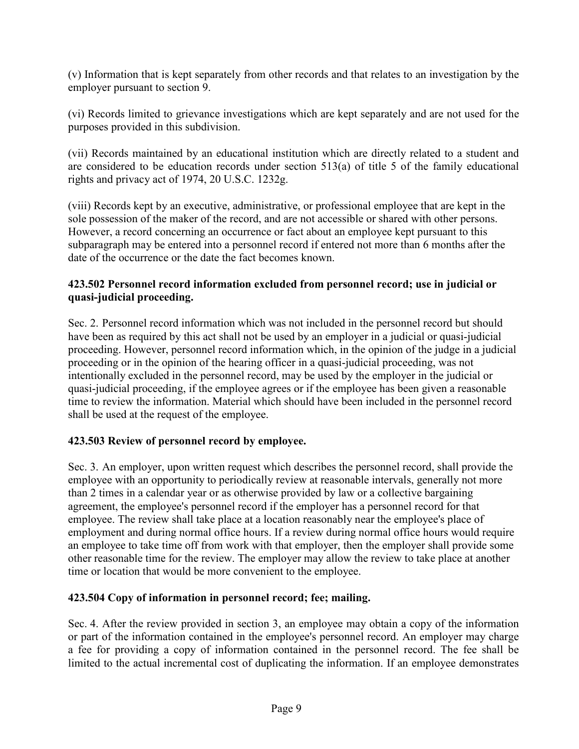(v) Information that is kept separately from other records and that relates to an investigation by the employer pursuant to section 9.

(vi) Records limited to grievance investigations which are kept separately and are not used for the purposes provided in this subdivision.

(vii) Records maintained by an educational institution which are directly related to a student and are considered to be education records under section 513(a) of title 5 of the family educational rights and privacy act of 1974, 20 U.S.C. 1232g.

(viii) Records kept by an executive, administrative, or professional employee that are kept in the sole possession of the maker of the record, and are not accessible or shared with other persons. However, a record concerning an occurrence or fact about an employee kept pursuant to this subparagraph may be entered into a personnel record if entered not more than 6 months after the date of the occurrence or the date the fact becomes known.

#### **423.502 Personnel record information excluded from personnel record; use in judicial or quasi-judicial proceeding.**

Sec. 2. Personnel record information which was not included in the personnel record but should have been as required by this act shall not be used by an employer in a judicial or quasi-judicial proceeding. However, personnel record information which, in the opinion of the judge in a judicial proceeding or in the opinion of the hearing officer in a quasi-judicial proceeding, was not intentionally excluded in the personnel record, may be used by the employer in the judicial or quasi-judicial proceeding, if the employee agrees or if the employee has been given a reasonable time to review the information. Material which should have been included in the personnel record shall be used at the request of the employee.

### **423.503 Review of personnel record by employee.**

Sec. 3. An employer, upon written request which describes the personnel record, shall provide the employee with an opportunity to periodically review at reasonable intervals, generally not more than 2 times in a calendar year or as otherwise provided by law or a collective bargaining agreement, the employee's personnel record if the employer has a personnel record for that employee. The review shall take place at a location reasonably near the employee's place of employment and during normal office hours. If a review during normal office hours would require an employee to take time off from work with that employer, then the employer shall provide some other reasonable time for the review. The employer may allow the review to take place at another time or location that would be more convenient to the employee.

#### **423.504 Copy of information in personnel record; fee; mailing.**

Sec. 4. After the review provided in section 3, an employee may obtain a copy of the information or part of the information contained in the employee's personnel record. An employer may charge a fee for providing a copy of information contained in the personnel record. The fee shall be limited to the actual incremental cost of duplicating the information. If an employee demonstrates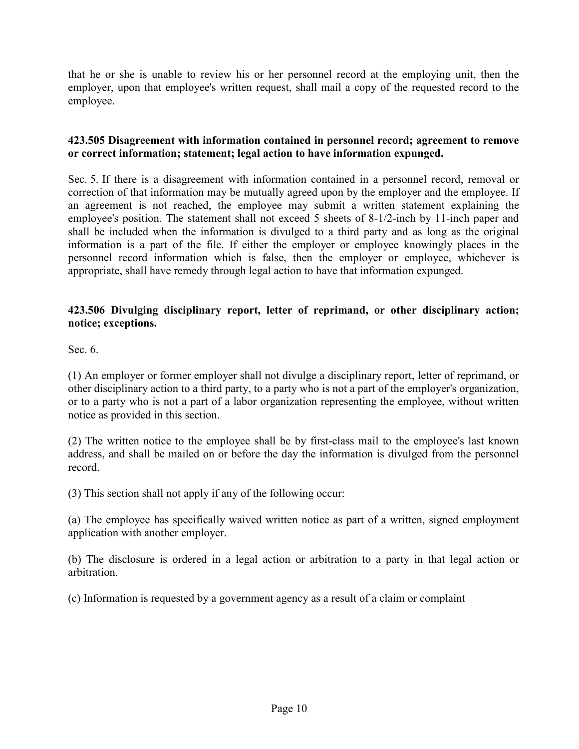that he or she is unable to review his or her personnel record at the employing unit, then the employer, upon that employee's written request, shall mail a copy of the requested record to the employee.

#### **423.505 Disagreement with information contained in personnel record; agreement to remove or correct information; statement; legal action to have information expunged.**

Sec. 5. If there is a disagreement with information contained in a personnel record, removal or correction of that information may be mutually agreed upon by the employer and the employee. If an agreement is not reached, the employee may submit a written statement explaining the employee's position. The statement shall not exceed 5 sheets of 8-1/2-inch by 11-inch paper and shall be included when the information is divulged to a third party and as long as the original information is a part of the file. If either the employer or employee knowingly places in the personnel record information which is false, then the employer or employee, whichever is appropriate, shall have remedy through legal action to have that information expunged.

#### **423.506 Divulging disciplinary report, letter of reprimand, or other disciplinary action; notice; exceptions.**

Sec. 6.

(1) An employer or former employer shall not divulge a disciplinary report, letter of reprimand, or other disciplinary action to a third party, to a party who is not a part of the employer's organization, or to a party who is not a part of a labor organization representing the employee, without written notice as provided in this section.

(2) The written notice to the employee shall be by first-class mail to the employee's last known address, and shall be mailed on or before the day the information is divulged from the personnel record.

(3) This section shall not apply if any of the following occur:

(a) The employee has specifically waived written notice as part of a written, signed employment application with another employer.

(b) The disclosure is ordered in a legal action or arbitration to a party in that legal action or arbitration.

(c) Information is requested by a government agency as a result of a claim or complaint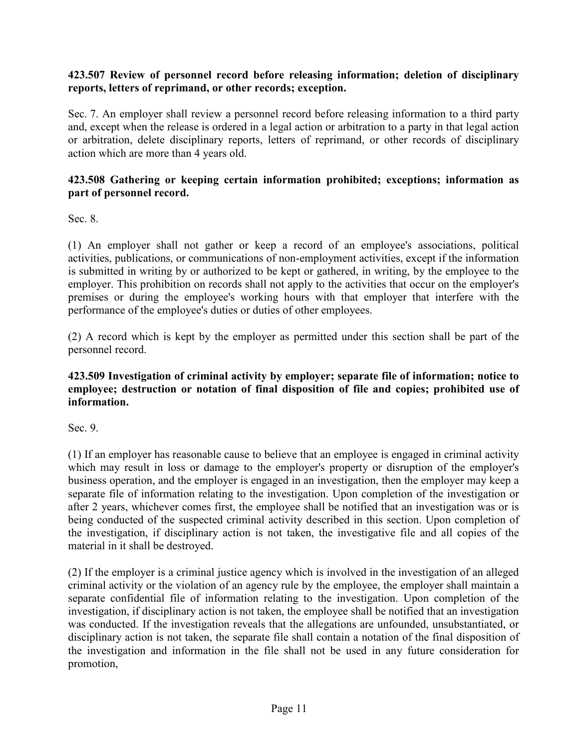#### **423.507 Review of personnel record before releasing information; deletion of disciplinary reports, letters of reprimand, or other records; exception.**

Sec. 7. An employer shall review a personnel record before releasing information to a third party and, except when the release is ordered in a legal action or arbitration to a party in that legal action or arbitration, delete disciplinary reports, letters of reprimand, or other records of disciplinary action which are more than 4 years old.

#### **423.508 Gathering or keeping certain information prohibited; exceptions; information as part of personnel record.**

Sec. 8.

(1) An employer shall not gather or keep a record of an employee's associations, political activities, publications, or communications of non-employment activities, except if the information is submitted in writing by or authorized to be kept or gathered, in writing, by the employee to the employer. This prohibition on records shall not apply to the activities that occur on the employer's premises or during the employee's working hours with that employer that interfere with the performance of the employee's duties or duties of other employees.

(2) A record which is kept by the employer as permitted under this section shall be part of the personnel record.

#### **423.509 Investigation of criminal activity by employer; separate file of information; notice to employee; destruction or notation of final disposition of file and copies; prohibited use of information.**

Sec. 9.

(1) If an employer has reasonable cause to believe that an employee is engaged in criminal activity which may result in loss or damage to the employer's property or disruption of the employer's business operation, and the employer is engaged in an investigation, then the employer may keep a separate file of information relating to the investigation. Upon completion of the investigation or after 2 years, whichever comes first, the employee shall be notified that an investigation was or is being conducted of the suspected criminal activity described in this section. Upon completion of the investigation, if disciplinary action is not taken, the investigative file and all copies of the material in it shall be destroyed.

(2) If the employer is a criminal justice agency which is involved in the investigation of an alleged criminal activity or the violation of an agency rule by the employee, the employer shall maintain a separate confidential file of information relating to the investigation. Upon completion of the investigation, if disciplinary action is not taken, the employee shall be notified that an investigation was conducted. If the investigation reveals that the allegations are unfounded, unsubstantiated, or disciplinary action is not taken, the separate file shall contain a notation of the final disposition of the investigation and information in the file shall not be used in any future consideration for promotion,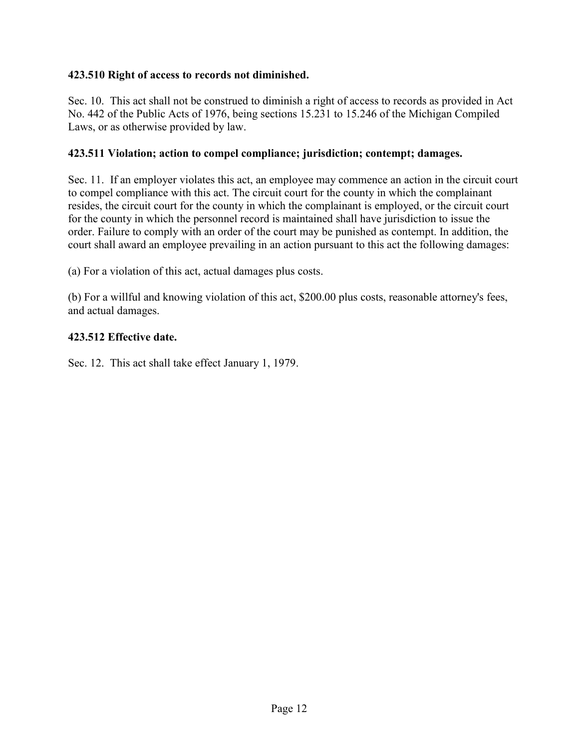#### **423.510 Right of access to records not diminished.**

Sec. 10. This act shall not be construed to diminish a right of access to records as provided in Act No. 442 of the Public Acts of 1976, being sections 15.231 to 15.246 of the Michigan Compiled Laws, or as otherwise provided by law.

#### **423.511 Violation; action to compel compliance; jurisdiction; contempt; damages.**

Sec. 11. If an employer violates this act, an employee may commence an action in the circuit court to compel compliance with this act. The circuit court for the county in which the complainant resides, the circuit court for the county in which the complainant is employed, or the circuit court for the county in which the personnel record is maintained shall have jurisdiction to issue the order. Failure to comply with an order of the court may be punished as contempt. In addition, the court shall award an employee prevailing in an action pursuant to this act the following damages:

(a) For a violation of this act, actual damages plus costs.

(b) For a willful and knowing violation of this act, \$200.00 plus costs, reasonable attorney's fees, and actual damages.

#### **423.512 Effective date.**

Sec. 12. This act shall take effect January 1, 1979.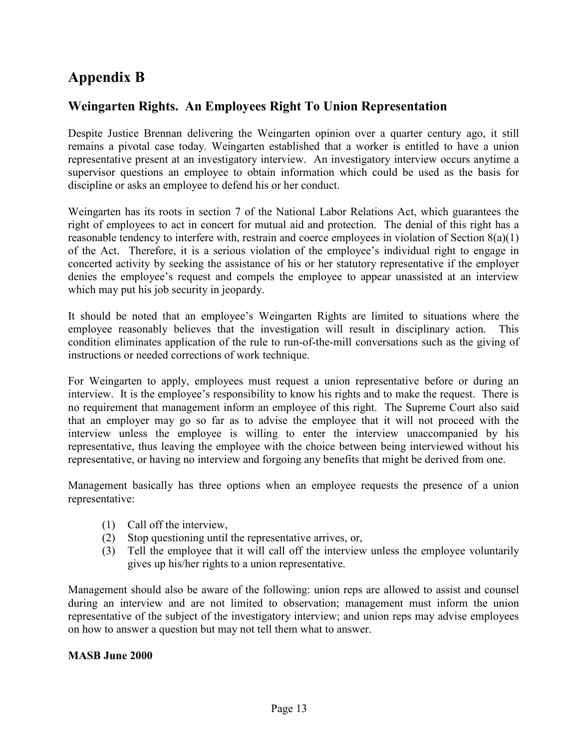## **Appendix B**

## **Weingarten Rights. An Employees Right To Union Representation**

Despite Justice Brennan delivering the Weingarten opinion over a quarter century ago, it still remains a pivotal case today. Weingarten established that a worker is entitled to have a union representative present at an investigatory interview. An investigatory interview occurs anytime a supervisor questions an employee to obtain information which could be used as the basis for discipline or asks an employee to defend his or her conduct.

Weingarten has its roots in section 7 of the National Labor Relations Act, which guarantees the right of employees to act in concert for mutual aid and protection. The denial of this right has a reasonable tendency to interfere with, restrain and coerce employees in violation of Section 8(a)(1) of the Act. Therefore, it is a serious violation of the employee's individual right to engage in concerted activity by seeking the assistance of his or her statutory representative if the employer denies the employee's request and compels the employee to appear unassisted at an interview which may put his job security in jeopardy.

It should be noted that an employee's Weingarten Rights are limited to situations where the employee reasonably believes that the investigation will result in disciplinary action. This condition eliminates application of the rule to run-of-the-mill conversations such as the giving of instructions or needed corrections of work technique.

For Weingarten to apply, employees must request a union representative before or during an interview. It is the employee's responsibility to know his rights and to make the request. There is no requirement that management inform an employee of this right. The Supreme Court also said that an employer may go so far as to advise the employee that it will not proceed with the interview unless the employee is willing to enter the interview unaccompanied by his representative, thus leaving the employee with the choice between being interviewed without his representative, or having no interview and forgoing any benefits that might be derived from one.

Management basically has three options when an employee requests the presence of a union representative:

- (1) Call off the interview,
- (2) Stop questioning until the representative arrives, or,
- (3) Tell the employee that it will call off the interview unless the employee voluntarily gives up his/her rights to a union representative.

Management should also be aware of the following: union reps are allowed to assist and counsel during an interview and are not limited to observation; management must inform the union representative of the subject of the investigatory interview; and union reps may advise employees on how to answer a question but may not tell them what to answer.

#### **MASB June 2000**